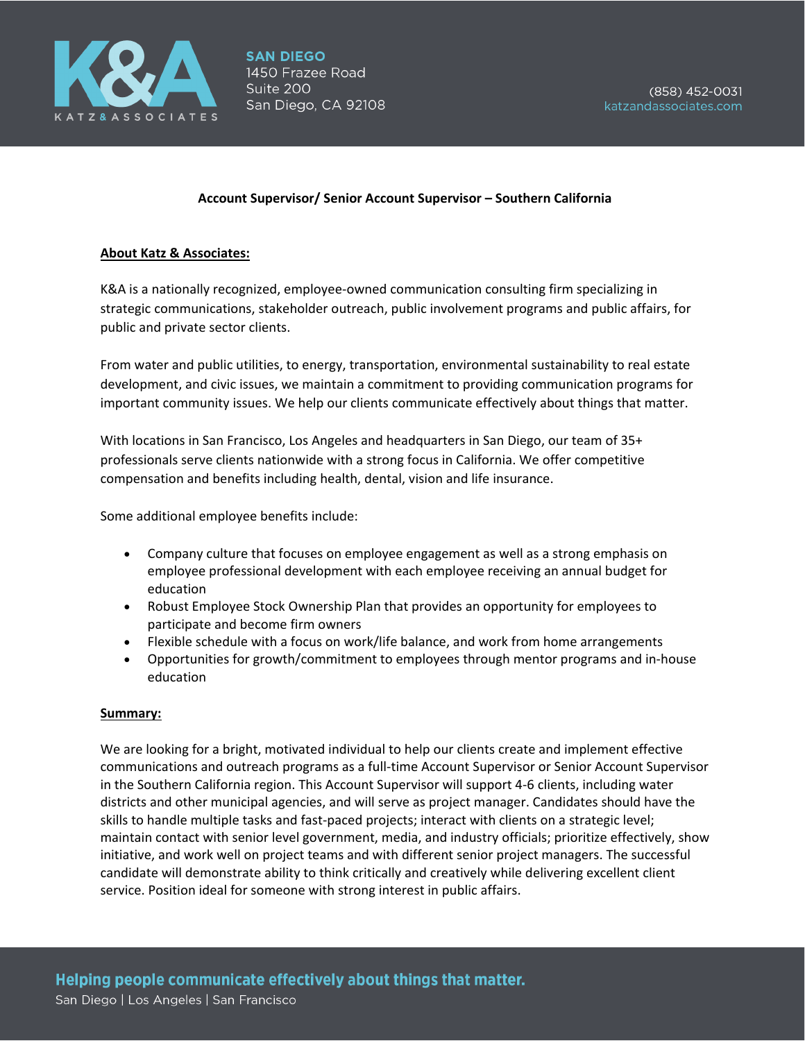

#### **Account Supervisor/ Senior Account Supervisor – Southern California**

#### **About Katz & Associates:**

K&A is a nationally recognized, employee-owned communication consulting firm specializing in strategic communications, stakeholder outreach, public involvement programs and public affairs, for public and private sector clients.

From water and public utilities, to energy, transportation, environmental sustainability to real estate development, and civic issues, we maintain a commitment to providing communication programs for important community issues. We help our clients communicate effectively about things that matter.

With locations in San Francisco, Los Angeles and headquarters in San Diego, our team of 35+ professionals serve clients nationwide with a strong focus in California. We offer competitive compensation and benefits including health, dental, vision and life insurance.

Some additional employee benefits include:

- Company culture that focuses on employee engagement as well as a strong emphasis on employee professional development with each employee receiving an annual budget for education
- Robust Employee Stock Ownership Plan that provides an opportunity for employees to participate and become firm owners
- Flexible schedule with a focus on work/life balance, and work from home arrangements
- Opportunities for growth/commitment to employees through mentor programs and in-house education

#### **Summary:**

We are looking for a bright, motivated individual to help our clients create and implement effective communications and outreach programs as a full-time Account Supervisor or Senior Account Supervisor in the Southern California region. This Account Supervisor will support 4-6 clients, including water districts and other municipal agencies, and will serve as project manager. Candidates should have the skills to handle multiple tasks and fast-paced projects; interact with clients on a strategic level; maintain contact with senior level government, media, and industry officials; prioritize effectively, show initiative, and work well on project teams and with different senior project managers. The successful candidate will demonstrate ability to think critically and creatively while delivering excellent client service. Position ideal for someone with strong interest in public affairs.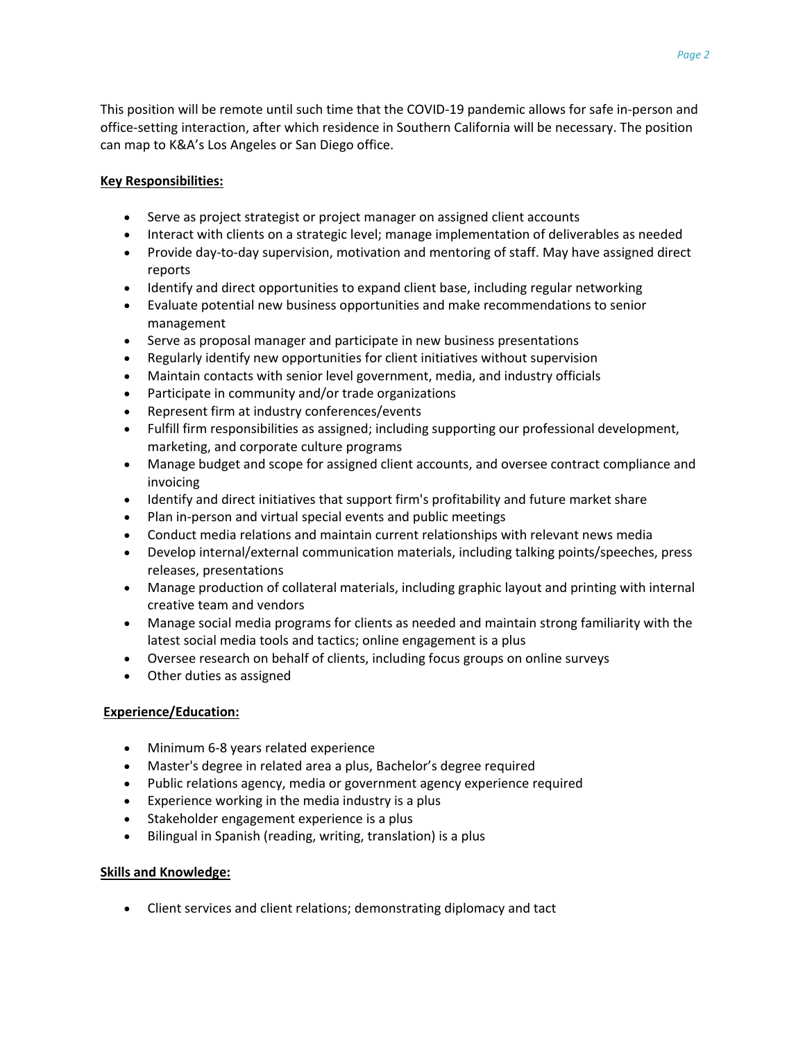This position will be remote until such time that the COVID-19 pandemic allows for safe in-person and office-setting interaction, after which residence in Southern California will be necessary. The position can map to K&A's Los Angeles or San Diego office.

# **Key Responsibilities:**

- Serve as project strategist or project manager on assigned client accounts
- Interact with clients on a strategic level; manage implementation of deliverables as needed
- Provide day-to-day supervision, motivation and mentoring of staff. May have assigned direct reports
- Identify and direct opportunities to expand client base, including regular networking
- Evaluate potential new business opportunities and make recommendations to senior management
- Serve as proposal manager and participate in new business presentations
- Regularly identify new opportunities for client initiatives without supervision
- Maintain contacts with senior level government, media, and industry officials
- Participate in community and/or trade organizations
- Represent firm at industry conferences/events
- Fulfill firm responsibilities as assigned; including supporting our professional development, marketing, and corporate culture programs
- Manage budget and scope for assigned client accounts, and oversee contract compliance and invoicing
- Identify and direct initiatives that support firm's profitability and future market share
- Plan in-person and virtual special events and public meetings
- Conduct media relations and maintain current relationships with relevant news media
- Develop internal/external communication materials, including talking points/speeches, press releases, presentations
- Manage production of collateral materials, including graphic layout and printing with internal creative team and vendors
- Manage social media programs for clients as needed and maintain strong familiarity with the latest social media tools and tactics; online engagement is a plus
- Oversee research on behalf of clients, including focus groups on online surveys
- Other duties as assigned

## **Experience/Education:**

- Minimum 6-8 years related experience
- Master's degree in related area a plus, Bachelor's degree required
- Public relations agency, media or government agency experience required
- Experience working in the media industry is a plus
- Stakeholder engagement experience is a plus
- Bilingual in Spanish (reading, writing, translation) is a plus

## **Skills and Knowledge:**

• Client services and client relations; demonstrating diplomacy and tact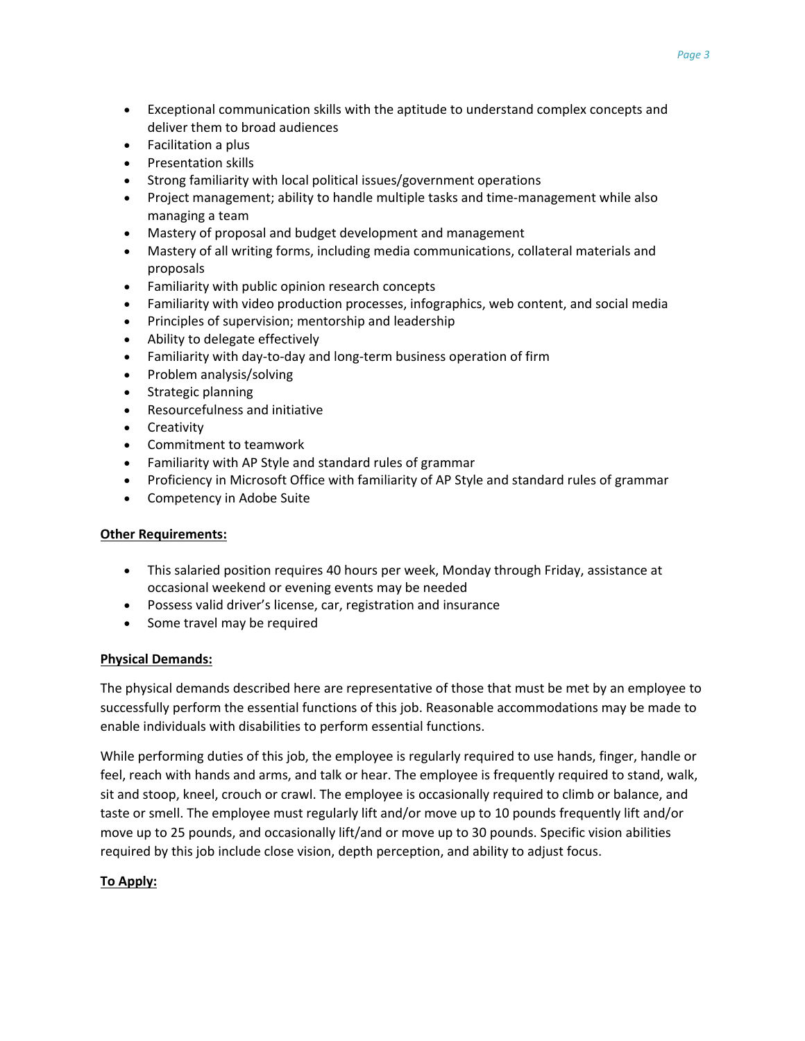- Exceptional communication skills with the aptitude to understand complex concepts and deliver them to broad audiences
- Facilitation a plus
- Presentation skills
- Strong familiarity with local political issues/government operations
- Project management; ability to handle multiple tasks and time-management while also managing a team
- Mastery of proposal and budget development and management
- Mastery of all writing forms, including media communications, collateral materials and proposals
- Familiarity with public opinion research concepts
- Familiarity with video production processes, infographics, web content, and social media
- Principles of supervision; mentorship and leadership
- Ability to delegate effectively
- Familiarity with day-to-day and long-term business operation of firm
- Problem analysis/solving
- Strategic planning
- Resourcefulness and initiative
- Creativity
- Commitment to teamwork
- Familiarity with AP Style and standard rules of grammar
- Proficiency in Microsoft Office with familiarity of AP Style and standard rules of grammar
- Competency in Adobe Suite

## **Other Requirements:**

- This salaried position requires 40 hours per week, Monday through Friday, assistance at occasional weekend or evening events may be needed
- Possess valid driver's license, car, registration and insurance
- Some travel may be required

## **Physical Demands:**

The physical demands described here are representative of those that must be met by an employee to successfully perform the essential functions of this job. Reasonable accommodations may be made to enable individuals with disabilities to perform essential functions.

While performing duties of this job, the employee is regularly required to use hands, finger, handle or feel, reach with hands and arms, and talk or hear. The employee is frequently required to stand, walk, sit and stoop, kneel, crouch or crawl. The employee is occasionally required to climb or balance, and taste or smell. The employee must regularly lift and/or move up to 10 pounds frequently lift and/or move up to 25 pounds, and occasionally lift/and or move up to 30 pounds. Specific vision abilities required by this job include close vision, depth perception, and ability to adjust focus.

## **To Apply:**